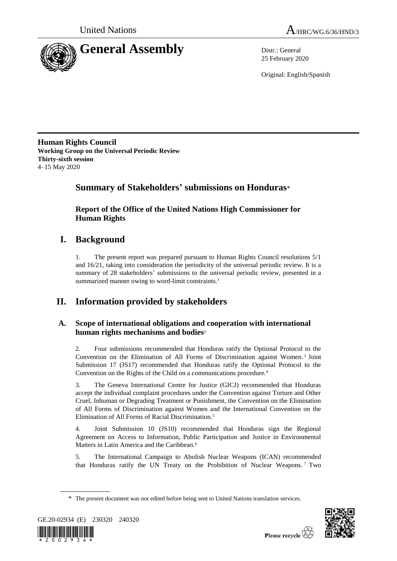



25 February 2020

Original: English/Spanish

**Human Rights Council Working Group on the Universal Periodic Review Thirty-sixth session** 4–15 May 2020

## **Summary of Stakeholders' submissions on Honduras**\*

**Report of the Office of the United Nations High Commissioner for Human Rights**

## **I. Background**

1. The present report was prepared pursuant to Human Rights Council resolutions 5/1 and 16/21, taking into consideration the periodicity of the universal periodic review. It is a summary of 28 stakeholders' submissions to the universal periodic review, presented in a summarized manner owing to word-limit constraints.<sup>1</sup>

# **II. Information provided by stakeholders**

## **A. Scope of international obligations and cooperation with international human rights mechanisms and bodies**<sup>2</sup>

2. Four submissions recommended that Honduras ratify the Optional Protocol to the Convention on the Elimination of All Forms of Discrimination against Women. <sup>3</sup> Joint Submission 17 (JS17) recommended that Honduras ratify the Optional Protocol to the Convention on the Rights of the Child on a communications procedure.<sup>4</sup>

3. The Geneva International Centre for Justice (GICJ) recommended that Honduras accept the individual complaint procedures under the Convention against Torture and Other Cruel, Inhuman or Degrading Treatment or Punishment, the Convention on the Elimination of All Forms of Discrimination against Women and the International Convention on the Elimination of All Forms of Racial Discrimination.<sup>5</sup>

4. Joint Submission 10 (JS10) recommended that Honduras sign the Regional Agreement on Access to Information, Public Participation and Justice in Environmental Matters in Latin America and the Caribbean.<sup>6</sup>

5. The International Campaign to Abolish Nuclear Weapons (ICAN) recommended that Honduras ratify the UN Treaty on the Prohibition of Nuclear Weapons. <sup>7</sup> Two

<sup>\*</sup> The present document was not edited before being sent to United Nations translation services.



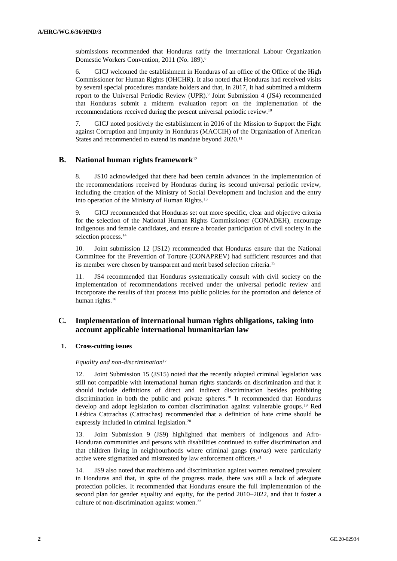submissions recommended that Honduras ratify the International Labour Organization Domestic Workers Convention, 2011 (No. 189).<sup>8</sup>

6. GICJ welcomed the establishment in Honduras of an office of the Office of the High Commissioner for Human Rights (OHCHR). It also noted that Honduras had received visits by several special procedures mandate holders and that, in 2017, it had submitted a midterm report to the Universal Periodic Review (UPR).<sup>9</sup> Joint Submission 4 (JS4) recommended that Honduras submit a midterm evaluation report on the implementation of the recommendations received during the present universal periodic review.<sup>10</sup>

7. GICJ noted positively the establishment in 2016 of the Mission to Support the Fight against Corruption and Impunity in Honduras (MACCIH) of the Organization of American States and recommended to extend its mandate beyond 2020.<sup>11</sup>

### **B. National human rights framework**<sup>12</sup>

8. JS10 acknowledged that there had been certain advances in the implementation of the recommendations received by Honduras during its second universal periodic review, including the creation of the Ministry of Social Development and Inclusion and the entry into operation of the Ministry of Human Rights.<sup>13</sup>

9. GICJ recommended that Honduras set out more specific, clear and objective criteria for the selection of the National Human Rights Commissioner (CONADEH), encourage indigenous and female candidates, and ensure a broader participation of civil society in the selection process.<sup>14</sup>

10. Joint submission 12 (JS12) recommended that Honduras ensure that the National Committee for the Prevention of Torture (CONAPREV) had sufficient resources and that its member were chosen by transparent and merit based selection criteria.<sup>15</sup>

11. JS4 recommended that Honduras systematically consult with civil society on the implementation of recommendations received under the universal periodic review and incorporate the results of that process into public policies for the promotion and defence of human rights.<sup>16</sup>

### **C. Implementation of international human rights obligations, taking into account applicable international humanitarian law**

#### **1. Cross-cutting issues**

#### *Equality and non-discrimination*<sup>17</sup>

12. Joint Submission 15 (JS15) noted that the recently adopted criminal legislation was still not compatible with international human rights standards on discrimination and that it should include definitions of direct and indirect discrimination besides prohibiting discrimination in both the public and private spheres.<sup>18</sup> It recommended that Honduras develop and adopt legislation to combat discrimination against vulnerable groups.<sup>19</sup> Red Lésbica Cattrachas (Cattrachas) recommended that a definition of hate crime should be expressly included in criminal legislation.<sup>20</sup>

13. Joint Submission 9 (JS9) highlighted that members of indigenous and Afro-Honduran communities and persons with disabilities continued to suffer discrimination and that children living in neighbourhoods where criminal gangs (*maras*) were particularly active were stigmatized and mistreated by law enforcement officers.<sup>21</sup>

14. JS9 also noted that machismo and discrimination against women remained prevalent in Honduras and that, in spite of the progress made, there was still a lack of adequate protection policies. It recommended that Honduras ensure the full implementation of the second plan for gender equality and equity, for the period 2010–2022, and that it foster a culture of non-discrimination against women.<sup>22</sup>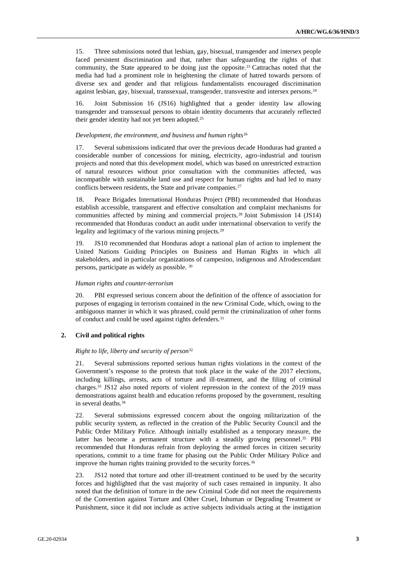15. Three submissions noted that lesbian, gay, bisexual, transgender and intersex people faced persistent discrimination and that, rather than safeguarding the rights of that community, the State appeared to be doing just the opposite.<sup>23</sup> Cattrachas noted that the media had had a prominent role in heightening the climate of hatred towards persons of diverse sex and gender and that religious fundamentalists encouraged discrimination against lesbian, gay, bisexual, transsexual, transgender, transvestite and intersex persons.<sup>24</sup>

16. Joint Submission 16 (JS16) highlighted that a gender identity law allowing transgender and transsexual persons to obtain identity documents that accurately reflected their gender identity had not yet been adopted.<sup>25</sup>

#### *Development, the environment, and business and human rights*<sup>26</sup>

17. Several submissions indicated that over the previous decade Honduras had granted a considerable number of concessions for mining, electricity, agro-industrial and tourism projects and noted that this development model, which was based on unrestricted extraction of natural resources without prior consultation with the communities affected, was incompatible with sustainable land use and respect for human rights and had led to many conflicts between residents, the State and private companies.<sup>27</sup>

18. Peace Brigades International Honduras Project (PBI) recommended that Honduras establish accessible, transparent and effective consultation and complaint mechanisms for communities affected by mining and commercial projects.<sup>28</sup> Joint Submission 14 (JS14) recommended that Honduras conduct an audit under international observation to verify the legality and legitimacy of the various mining projects.<sup>29</sup>

19. JS10 recommended that Honduras adopt a national plan of action to implement the United Nations Guiding Principles on Business and Human Rights in which all stakeholders, and in particular organizations of campesino, indigenous and Afrodescendant persons, participate as widely as possible. <sup>30</sup>

#### *Human rights and counter-terrorism*

20. PBI expressed serious concern about the definition of the offence of association for purposes of engaging in terrorism contained in the new Criminal Code, which, owing to the ambiguous manner in which it was phrased, could permit the criminalization of other forms of conduct and could be used against rights defenders.<sup>31</sup>

#### **2. Civil and political rights**

#### *Right to life, liberty and security of person*<sup>32</sup>

21. Several submissions reported serious human rights violations in the context of the Government's response to the protests that took place in the wake of the 2017 elections, including killings, arrests, acts of torture and ill-treatment, and the filing of criminal charges.<sup>33</sup> JS12 also noted reports of violent repression in the context of the 2019 mass demonstrations against health and education reforms proposed by the government, resulting in several deaths.<sup>34</sup>

22. Several submissions expressed concern about the ongoing militarization of the public security system, as reflected in the creation of the Public Security Council and the Public Order Military Police. Although initially established as a temporary measure, the latter has become a permanent structure with a steadily growing personnel.<sup>35</sup> PBI recommended that Honduras refrain from deploying the armed forces in citizen security operations, commit to a time frame for phasing out the Public Order Military Police and improve the human rights training provided to the security forces.<sup>36</sup>

23. JS12 noted that torture and other ill-treatment continued to be used by the security forces and highlighted that the vast majority of such cases remained in impunity. It also noted that the definition of torture in the new Criminal Code did not meet the requirements of the Convention against Torture and Other Cruel, Inhuman or Degrading Treatment or Punishment, since it did not include as active subjects individuals acting at the instigation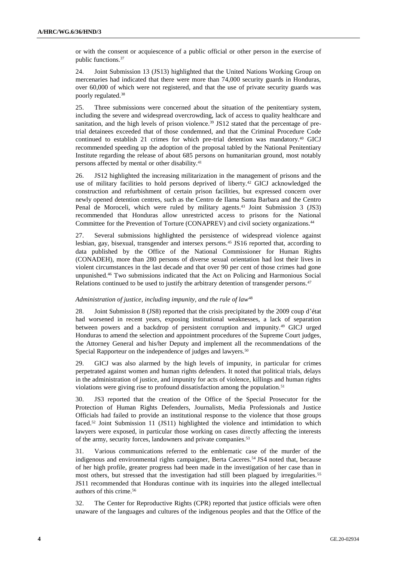or with the consent or acquiescence of a public official or other person in the exercise of public functions.<sup>37</sup>

24. Joint Submission 13 (JS13) highlighted that the United Nations Working Group on mercenaries had indicated that there were more than 74,000 security guards in Honduras, over 60,000 of which were not registered, and that the use of private security guards was poorly regulated.<sup>38</sup>

25. Three submissions were concerned about the situation of the penitentiary system, including the severe and widespread overcrowding, lack of access to quality healthcare and sanitation, and the high levels of prison violence.<sup>39</sup> JS12 stated that the percentage of pretrial detainees exceeded that of those condemned, and that the Criminal Procedure Code continued to establish 21 crimes for which pre-trial detention was mandatory.<sup>40</sup> GICJ recommended speeding up the adoption of the proposal tabled by the National Penitentiary Institute regarding the release of about 685 persons on humanitarian ground, most notably persons affected by mental or other disability.<sup>41</sup>

26. JS12 highlighted the increasing militarization in the management of prisons and the use of military facilities to hold persons deprived of liberty.<sup>42</sup> GICJ acknowledged the construction and refurbishment of certain prison facilities, but expressed concern over newly opened detention centres, such as the Centro de Ilama Santa Barbara and the Centro Penal de Moroceli, which were ruled by military agents.<sup>43</sup> Joint Submission 3 (JS3) recommended that Honduras allow unrestricted access to prisons for the National Committee for the Prevention of Torture (CONAPREV) and civil society organizations.<sup>44</sup>

27. Several submissions highlighted the persistence of widespread violence against lesbian, gay, bisexual, transgender and intersex persons.<sup>45</sup> JS16 reported that, according to data published by the Office of the National Commissioner for Human Rights (CONADEH), more than 280 persons of diverse sexual orientation had lost their lives in violent circumstances in the last decade and that over 90 per cent of those crimes had gone unpunished.<sup>46</sup> Two submissions indicated that the Act on Policing and Harmonious Social Relations continued to be used to justify the arbitrary detention of transgender persons.<sup>47</sup>

#### *Administration of justice, including impunity, and the rule of law*<sup>48</sup>

28. Joint Submission 8 (JS8) reported that the crisis precipitated by the 2009 coup d'état had worsened in recent years, exposing institutional weaknesses, a lack of separation between powers and a backdrop of persistent corruption and impunity.<sup>49</sup> GICJ urged Honduras to amend the selection and appointment procedures of the Supreme Court judges, the Attorney General and his/her Deputy and implement all the recommendations of the Special Rapporteur on the independence of judges and lawyers.<sup>50</sup>

29. GICJ was also alarmed by the high levels of impunity, in particular for crimes perpetrated against women and human rights defenders. It noted that political trials, delays in the administration of justice, and impunity for acts of violence, killings and human rights violations were giving rise to profound dissatisfaction among the population.<sup>51</sup>

30. JS3 reported that the creation of the Office of the Special Prosecutor for the Protection of Human Rights Defenders, Journalists, Media Professionals and Justice Officials had failed to provide an institutional response to the violence that those groups faced.<sup>52</sup> Joint Submission 11 (JS11) highlighted the violence and intimidation to which lawyers were exposed, in particular those working on cases directly affecting the interests of the army, security forces, landowners and private companies.<sup>53</sup>

31. Various communications referred to the emblematic case of the murder of the indigenous and environmental rights campaigner, Berta Caceres.<sup>54</sup> JS4 noted that, because of her high profile, greater progress had been made in the investigation of her case than in most others, but stressed that the investigation had still been plagued by irregularities.<sup>55</sup> JS11 recommended that Honduras continue with its inquiries into the alleged intellectual authors of this crime.<sup>56</sup>

32. The Center for Reproductive Rights (CPR) reported that justice officials were often unaware of the languages and cultures of the indigenous peoples and that the Office of the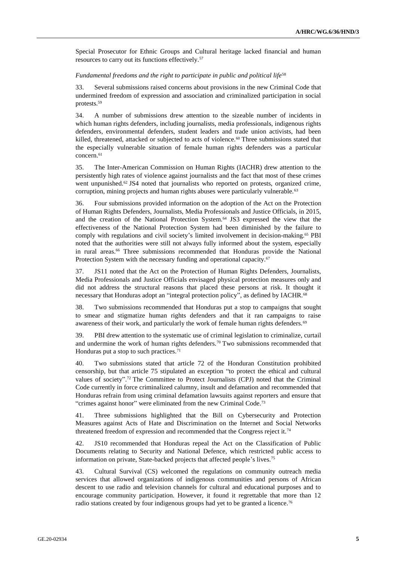Special Prosecutor for Ethnic Groups and Cultural heritage lacked financial and human resources to carry out its functions effectively.<sup>57</sup>

#### Fundamental freedoms and the right to participate in public and political life<sup>58</sup>

33. Several submissions raised concerns about provisions in the new Criminal Code that undermined freedom of expression and association and criminalized participation in social protests.<sup>59</sup>

34. A number of submissions drew attention to the sizeable number of incidents in which human rights defenders, including journalists, media professionals, indigenous rights defenders, environmental defenders, student leaders and trade union activists, had been killed, threatened, attacked or subjected to acts of violence.<sup>60</sup> Three submissions stated that the especially vulnerable situation of female human rights defenders was a particular concern.<sup>61</sup>

35. The Inter-American Commission on Human Rights (IACHR) drew attention to the persistently high rates of violence against journalists and the fact that most of these crimes went unpunished.<sup>62</sup> JS4 noted that journalists who reported on protests, organized crime, corruption, mining projects and human rights abuses were particularly vulnerable.<sup>63</sup>

36. Four submissions provided information on the adoption of the Act on the Protection of Human Rights Defenders, Journalists, Media Professionals and Justice Officials, in 2015, and the creation of the National Protection System.<sup>64</sup> JS3 expressed the view that the effectiveness of the National Protection System had been diminished by the failure to comply with regulations and civil society's limited involvement in decision-making.<sup>65</sup> PBI noted that the authorities were still not always fully informed about the system, especially in rural areas.<sup>66</sup> Three submissions recommended that Honduras provide the National Protection System with the necessary funding and operational capacity.<sup>67</sup>

37. JS11 noted that the Act on the Protection of Human Rights Defenders, Journalists, Media Professionals and Justice Officials envisaged physical protection measures only and did not address the structural reasons that placed these persons at risk. It thought it necessary that Honduras adopt an "integral protection policy", as defined by IACHR.<sup>68</sup>

38. Two submissions recommended that Honduras put a stop to campaigns that sought to smear and stigmatize human rights defenders and that it ran campaigns to raise awareness of their work, and particularly the work of female human rights defenders.<sup>69</sup>

39. PBI drew attention to the systematic use of criminal legislation to criminalize, curtail and undermine the work of human rights defenders.<sup>70</sup> Two submissions recommended that Honduras put a stop to such practices.<sup>71</sup>

40. Two submissions stated that article 72 of the Honduran Constitution prohibited censorship, but that article 75 stipulated an exception "to protect the ethical and cultural values of society". <sup>72</sup> The Committee to Protect Journalists (CPJ) noted that the Criminal Code currently in force criminalized calumny, insult and defamation and recommended that Honduras refrain from using criminal defamation lawsuits against reporters and ensure that "crimes against honor" were eliminated from the new Criminal Code.<sup>73</sup>

41. Three submissions highlighted that the Bill on Cybersecurity and Protection Measures against Acts of Hate and Discrimination on the Internet and Social Networks threatened freedom of expression and recommended that the Congress reject it.<sup>74</sup>

42. JS10 recommended that Honduras repeal the Act on the Classification of Public Documents relating to Security and National Defence, which restricted public access to information on private, State-backed projects that affected people's lives.<sup>75</sup>

43. Cultural Survival (CS) welcomed the regulations on community outreach media services that allowed organizations of indigenous communities and persons of African descent to use radio and television channels for cultural and educational purposes and to encourage community participation. However, it found it regrettable that more than 12 radio stations created by four indigenous groups had yet to be granted a licence.<sup>76</sup>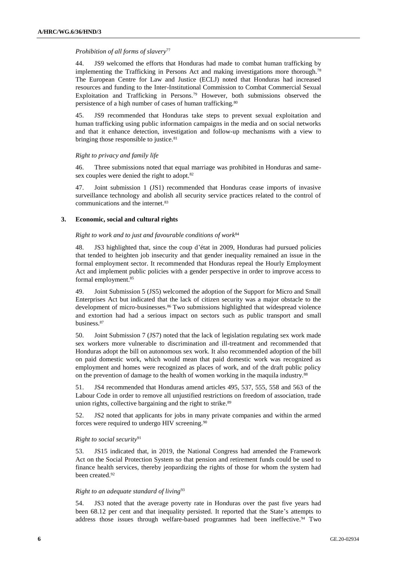#### *Prohibition of all forms of slavery*<sup>77</sup>

44. JS9 welcomed the efforts that Honduras had made to combat human trafficking by implementing the Trafficking in Persons Act and making investigations more thorough.<sup>78</sup> The European Centre for Law and Justice (ECLJ) noted that Honduras had increased resources and funding to the Inter-Institutional Commission to Combat Commercial Sexual Exploitation and Trafficking in Persons.<sup>79</sup> However, both submissions observed the persistence of a high number of cases of human trafficking.<sup>80</sup>

45. JS9 recommended that Honduras take steps to prevent sexual exploitation and human trafficking using public information campaigns in the media and on social networks and that it enhance detection, investigation and follow-up mechanisms with a view to bringing those responsible to justice.<sup>81</sup>

#### *Right to privacy and family life*

46. Three submissions noted that equal marriage was prohibited in Honduras and samesex couples were denied the right to adopt.<sup>82</sup>

47. Joint submission 1 (JS1) recommended that Honduras cease imports of invasive surveillance technology and abolish all security service practices related to the control of communications and the internet.<sup>83</sup>

#### **3. Economic, social and cultural rights**

#### *Right to work and to just and favourable conditions of work*<sup>84</sup>

48. JS3 highlighted that, since the coup d'état in 2009, Honduras had pursued policies that tended to heighten job insecurity and that gender inequality remained an issue in the formal employment sector. It recommended that Honduras repeal the Hourly Employment Act and implement public policies with a gender perspective in order to improve access to formal employment.<sup>85</sup>

49. Joint Submission 5 (JS5) welcomed the adoption of the Support for Micro and Small Enterprises Act but indicated that the lack of citizen security was a major obstacle to the development of micro-businesses.<sup>86</sup> Two submissions highlighted that widespread violence and extortion had had a serious impact on sectors such as public transport and small business.<sup>87</sup>

50. Joint Submission 7 (JS7) noted that the lack of legislation regulating sex work made sex workers more vulnerable to discrimination and ill-treatment and recommended that Honduras adopt the bill on autonomous sex work. It also recommended adoption of the bill on paid domestic work, which would mean that paid domestic work was recognized as employment and homes were recognized as places of work, and of the draft public policy on the prevention of damage to the health of women working in the maquila industry.<sup>88</sup>

51. JS4 recommended that Honduras amend articles 495, 537, 555, 558 and 563 of the Labour Code in order to remove all unjustified restrictions on freedom of association, trade union rights, collective bargaining and the right to strike.<sup>89</sup>

52. JS2 noted that applicants for jobs in many private companies and within the armed forces were required to undergo HIV screening.<sup>90</sup>

#### *Right to social security*<sup>91</sup>

53. JS15 indicated that, in 2019, the National Congress had amended the Framework Act on the Social Protection System so that pension and retirement funds could be used to finance health services, thereby jeopardizing the rights of those for whom the system had been created.<sup>92</sup>

#### *Right to an adequate standard of living*<sup>93</sup>

54. JS3 noted that the average poverty rate in Honduras over the past five years had been 68.12 per cent and that inequality persisted. It reported that the State's attempts to address those issues through welfare-based programmes had been ineffective.<sup>94</sup> Two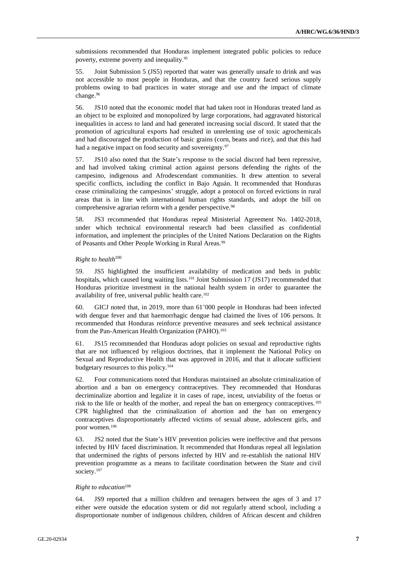submissions recommended that Honduras implement integrated public policies to reduce poverty, extreme poverty and inequality.<sup>95</sup>

55. Joint Submission 5 (JS5) reported that water was generally unsafe to drink and was not accessible to most people in Honduras, and that the country faced serious supply problems owing to bad practices in water storage and use and the impact of climate change.<sup>96</sup>

56. JS10 noted that the economic model that had taken root in Honduras treated land as an object to be exploited and monopolized by large corporations, had aggravated historical inequalities in access to land and had generated increasing social discord. It stated that the promotion of agricultural exports had resulted in unrelenting use of toxic agrochemicals and had discouraged the production of basic grains (corn, beans and rice), and that this had had a negative impact on food security and sovereignty.<sup>97</sup>

57. JS10 also noted that the State's response to the social discord had been repressive, and had involved taking criminal action against persons defending the rights of the campesino, indigenous and Afrodescendant communities. It drew attention to several specific conflicts, including the conflict in Bajo Aguán. It recommended that Honduras cease criminalizing the campesinos' struggle, adopt a protocol on forced evictions in rural areas that is in line with international human rights standards, and adopt the bill on comprehensive agrarian reform with a gender perspective.<sup>98</sup>

58. JS3 recommended that Honduras repeal Ministerial Agreement No. 1402-2018, under which technical environmental research had been classified as confidential information, and implement the principles of the United Nations Declaration on the Rights of Peasants and Other People Working in Rural Areas.<sup>99</sup>

#### *Right to health*<sup>100</sup>

59. JS5 highlighted the insufficient availability of medication and beds in public hospitals, which caused long waiting lists.<sup>101</sup> Joint Submission 17 (JS17) recommended that Honduras prioritize investment in the national health system in order to guarantee the availability of free, universal public health care.<sup>102</sup>

60. GICJ noted that, in 2019, more than 61'000 people in Honduras had been infected with dengue fever and that haemorrhagic dengue had claimed the lives of 106 persons. It recommended that Honduras reinforce preventive measures and seek technical assistance from the Pan-American Health Organization (PAHO).<sup>103</sup>

61. JS15 recommended that Honduras adopt policies on sexual and reproductive rights that are not influenced by religious doctrines, that it implement the National Policy on Sexual and Reproductive Health that was approved in 2016, and that it allocate sufficient budgetary resources to this policy.<sup>104</sup>

62. Four communications noted that Honduras maintained an absolute criminalization of abortion and a ban on emergency contraceptives. They recommended that Honduras decriminalize abortion and legalize it in cases of rape, incest, unviability of the foetus or risk to the life or health of the mother, and repeal the ban on emergency contraceptives.<sup>105</sup> CPR highlighted that the criminalization of abortion and the ban on emergency contraceptives disproportionately affected victims of sexual abuse, adolescent girls, and poor women.<sup>106</sup>

63. JS2 noted that the State's HIV prevention policies were ineffective and that persons infected by HIV faced discrimination. It recommended that Honduras repeal all legislation that undermined the rights of persons infected by HIV and re-establish the national HIV prevention programme as a means to facilitate coordination between the State and civil society.<sup>107</sup>

#### *Right to education*<sup>108</sup>

64. JS9 reported that a million children and teenagers between the ages of 3 and 17 either were outside the education system or did not regularly attend school, including a disproportionate number of indigenous children, children of African descent and children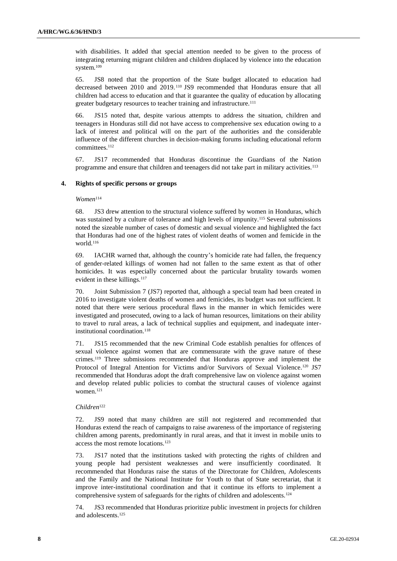with disabilities. It added that special attention needed to be given to the process of integrating returning migrant children and children displaced by violence into the education system.<sup>109</sup>

65. JS8 noted that the proportion of the State budget allocated to education had decreased between 2010 and 2019. <sup>110</sup> JS9 recommended that Honduras ensure that all children had access to education and that it guarantee the quality of education by allocating greater budgetary resources to teacher training and infrastructure.<sup>111</sup>

66. JS15 noted that, despite various attempts to address the situation, children and teenagers in Honduras still did not have access to comprehensive sex education owing to a lack of interest and political will on the part of the authorities and the considerable influence of the different churches in decision-making forums including educational reform committees.<sup>112</sup>

67. JS17 recommended that Honduras discontinue the Guardians of the Nation programme and ensure that children and teenagers did not take part in military activities.<sup>113</sup>

#### **4. Rights of specific persons or groups**

### *Women*<sup>114</sup>

68. JS3 drew attention to the structural violence suffered by women in Honduras, which was sustained by a culture of tolerance and high levels of impunity.<sup>115</sup> Several submissions noted the sizeable number of cases of domestic and sexual violence and highlighted the fact that Honduras had one of the highest rates of violent deaths of women and femicide in the world.<sup>116</sup>

69. IACHR warned that, although the country's homicide rate had fallen, the frequency of gender-related killings of women had not fallen to the same extent as that of other homicides. It was especially concerned about the particular brutality towards women evident in these killings.<sup>117</sup>

70. Joint Submission 7 (JS7) reported that, although a special team had been created in 2016 to investigate violent deaths of women and femicides, its budget was not sufficient. It noted that there were serious procedural flaws in the manner in which femicides were investigated and prosecuted, owing to a lack of human resources, limitations on their ability to travel to rural areas, a lack of technical supplies and equipment, and inadequate interinstitutional coordination.<sup>118</sup>

71. JS15 recommended that the new Criminal Code establish penalties for offences of sexual violence against women that are commensurate with the grave nature of these crimes.<sup>119</sup> Three submissions recommended that Honduras approve and implement the Protocol of Integral Attention for Victims and/or Survivors of Sexual Violence.<sup>120</sup> JS7 recommended that Honduras adopt the draft comprehensive law on violence against women and develop related public policies to combat the structural causes of violence against women.<sup>121</sup>

#### *Children*<sup>122</sup>

72. JS9 noted that many children are still not registered and recommended that Honduras extend the reach of campaigns to raise awareness of the importance of registering children among parents, predominantly in rural areas, and that it invest in mobile units to access the most remote locations.<sup>123</sup>

73. JS17 noted that the institutions tasked with protecting the rights of children and young people had persistent weaknesses and were insufficiently coordinated. It recommended that Honduras raise the status of the Directorate for Children, Adolescents and the Family and the National Institute for Youth to that of State secretariat, that it improve inter-institutional coordination and that it continue its efforts to implement a comprehensive system of safeguards for the rights of children and adolescents.<sup>124</sup>

74. JS3 recommended that Honduras prioritize public investment in projects for children and adolescents.125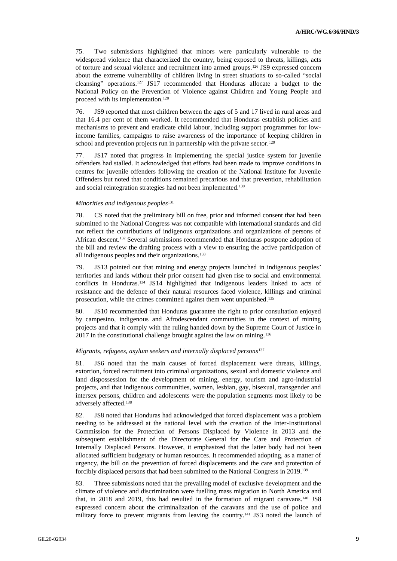75. Two submissions highlighted that minors were particularly vulnerable to the widespread violence that characterized the country, being exposed to threats, killings, acts of torture and sexual violence and recruitment into armed groups.<sup>126</sup> JS9 expressed concern about the extreme vulnerability of children living in street situations to so-called "social cleansing" operations.<sup>127</sup> JS17 recommended that Honduras allocate a budget to the National Policy on the Prevention of Violence against Children and Young People and proceed with its implementation.<sup>128</sup>

76. JS9 reported that most children between the ages of 5 and 17 lived in rural areas and that 16.4 per cent of them worked. It recommended that Honduras establish policies and mechanisms to prevent and eradicate child labour, including support programmes for lowincome families, campaigns to raise awareness of the importance of keeping children in school and prevention projects run in partnership with the private sector.<sup>129</sup>

77. JS17 noted that progress in implementing the special justice system for juvenile offenders had stalled. It acknowledged that efforts had been made to improve conditions in centres for juvenile offenders following the creation of the National Institute for Juvenile Offenders but noted that conditions remained precarious and that prevention, rehabilitation and social reintegration strategies had not been implemented.<sup>130</sup>

#### *Minorities and indigenous peoples*<sup>131</sup>

78. CS noted that the preliminary bill on free, prior and informed consent that had been submitted to the National Congress was not compatible with international standards and did not reflect the contributions of indigenous organizations and organizations of persons of African descent.<sup>132</sup> Several submissions recommended that Honduras postpone adoption of the bill and review the drafting process with a view to ensuring the active participation of all indigenous peoples and their organizations.<sup>133</sup>

79. JS13 pointed out that mining and energy projects launched in indigenous peoples' territories and lands without their prior consent had given rise to social and environmental conflicts in Honduras.<sup>134</sup> JS14 highlighted that indigenous leaders linked to acts of resistance and the defence of their natural resources faced violence, killings and criminal prosecution, while the crimes committed against them went unpunished.<sup>135</sup>

80. JS10 recommended that Honduras guarantee the right to prior consultation enjoyed by campesino, indigenous and Afrodescendant communities in the context of mining projects and that it comply with the ruling handed down by the Supreme Court of Justice in 2017 in the constitutional challenge brought against the law on mining.<sup>136</sup>

#### *Migrants, refugees, asylum seekers and internally displaced persons*<sup>137</sup>

81. JS6 noted that the main causes of forced displacement were threats, killings, extortion, forced recruitment into criminal organizations, sexual and domestic violence and land dispossession for the development of mining, energy, tourism and agro-industrial projects, and that indigenous communities, women, lesbian, gay, bisexual, transgender and intersex persons, children and adolescents were the population segments most likely to be adversely affected.<sup>138</sup>

82. JS8 noted that Honduras had acknowledged that forced displacement was a problem needing to be addressed at the national level with the creation of the Inter-Institutional Commission for the Protection of Persons Displaced by Violence in 2013 and the subsequent establishment of the Directorate General for the Care and Protection of Internally Displaced Persons. However, it emphasized that the latter body had not been allocated sufficient budgetary or human resources. It recommended adopting, as a matter of urgency, the bill on the prevention of forced displacements and the care and protection of forcibly displaced persons that had been submitted to the National Congress in 2019.<sup>139</sup>

83. Three submissions noted that the prevailing model of exclusive development and the climate of violence and discrimination were fuelling mass migration to North America and that, in 2018 and 2019, this had resulted in the formation of migrant caravans.<sup>140</sup> JS8 expressed concern about the criminalization of the caravans and the use of police and military force to prevent migrants from leaving the country.<sup>141</sup> JS3 noted the launch of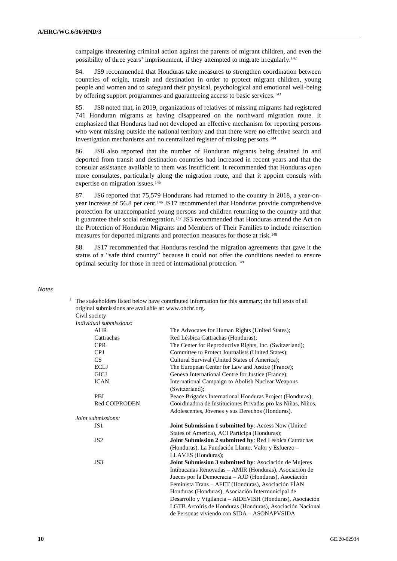campaigns threatening criminal action against the parents of migrant children, and even the possibility of three years' imprisonment, if they attempted to migrate irregularly.<sup>142</sup>

84. JS9 recommended that Honduras take measures to strengthen coordination between countries of origin, transit and destination in order to protect migrant children, young people and women and to safeguard their physical, psychological and emotional well-being by offering support programmes and guaranteeing access to basic services.<sup>143</sup>

85. JS8 noted that, in 2019, organizations of relatives of missing migrants had registered 741 Honduran migrants as having disappeared on the northward migration route. It emphasized that Honduras had not developed an effective mechanism for reporting persons who went missing outside the national territory and that there were no effective search and investigation mechanisms and no centralized register of missing persons.<sup>144</sup>

86. JS8 also reported that the number of Honduran migrants being detained in and deported from transit and destination countries had increased in recent years and that the consular assistance available to them was insufficient. It recommended that Honduras open more consulates, particularly along the migration route, and that it appoint consuls with expertise on migration issues.<sup>145</sup>

87. JS6 reported that 75,579 Hondurans had returned to the country in 2018, a year-onyear increase of 56.8 per cent.<sup>146</sup> JS17 recommended that Honduras provide comprehensive protection for unaccompanied young persons and children returning to the country and that it guarantee their social reintegration.<sup>147</sup> JS3 recommended that Honduras amend the Act on the Protection of Honduran Migrants and Members of Their Families to include reinsertion measures for deported migrants and protection measures for those at risk.<sup>148</sup>

88. JS17 recommended that Honduras rescind the migration agreements that gave it the status of a "safe third country" because it could not offer the conditions needed to ensure optimal security for those in need of international protection.<sup>149</sup>

#### *Notes*

| The stakeholders listed below have contributed information for this summary; the full texts of all |                                                              |  |
|----------------------------------------------------------------------------------------------------|--------------------------------------------------------------|--|
| original submissions are available at: www.ohchr.org.                                              |                                                              |  |
| Civil society                                                                                      |                                                              |  |
| Individual submissions:                                                                            |                                                              |  |
| AHR                                                                                                | The Advocates for Human Rights (United States);              |  |
| Cattrachas                                                                                         | Red Lésbica Cattrachas (Honduras);                           |  |
| <b>CPR</b>                                                                                         | The Center for Reproductive Rights, Inc. (Switzerland);      |  |
| <b>CPJ</b>                                                                                         | Committee to Protect Journalists (United States);            |  |
| CS                                                                                                 | Cultural Survival (United States of America);                |  |
| <b>ECLJ</b>                                                                                        | The European Center for Law and Justice (France);            |  |
| <b>GICJ</b>                                                                                        | Geneva International Centre for Justice (France);            |  |
| <b>ICAN</b>                                                                                        | International Campaign to Abolish Nuclear Weapons            |  |
|                                                                                                    | (Switzerland);                                               |  |
| PBI                                                                                                | Peace Brigades International Honduras Project (Honduras);    |  |
| <b>Red COIPRODEN</b>                                                                               | Coordinadora de Instituciones Privadas pro las Niñas, Niños, |  |
|                                                                                                    | Adolescentes, Jóvenes y sus Derechos (Honduras).             |  |
| Joint submissions:                                                                                 |                                                              |  |
| JS <sub>1</sub>                                                                                    | Joint Submission 1 submitted by: Access Now (United          |  |
|                                                                                                    | States of America), ACI Participa (Honduras);                |  |
| JS <sub>2</sub>                                                                                    | Joint Submission 2 submitted by: Red Lésbica Cattrachas      |  |
|                                                                                                    | (Honduras), La Fundación Llanto, Valor y Esfuerzo -          |  |
|                                                                                                    | LLAVES (Honduras);                                           |  |
| JS3                                                                                                | Joint Submission 3 submitted by: Asociación de Mujeres       |  |
|                                                                                                    | Intibucanas Renovadas - AMIR (Honduras), Asociación de       |  |
|                                                                                                    | Jueces por la Democracia – AJD (Honduras), Asociación        |  |
|                                                                                                    | Feminista Trans – AFET (Honduras), Asociación FÍAN           |  |
|                                                                                                    | Honduras (Honduras), Asociación Intermunicipal de            |  |
|                                                                                                    | Desarrollo y Vigilancia – AIDEVISH (Honduras), Asociación    |  |
|                                                                                                    | LGTB Arcoíris de Honduras (Honduras), Asociación Nacional    |  |
|                                                                                                    | de Personas viviendo con SIDA - ASONAPVSIDA                  |  |
|                                                                                                    |                                                              |  |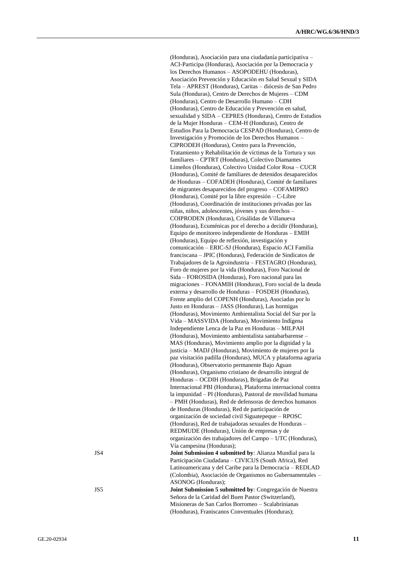(Honduras), Asociación para una ciudadanía participativa – ACI-Participa (Honduras), Asociación por la Democracia y los Derechos Humanos – ASOPODEHU (Honduras), Asociación Prevención y Educación en Salud Sexual y SIDA Tela – APREST (Honduras), Caritas – diócesis de San Pedro Sula (Honduras), Centro de Derechos de Mujeres – CDM (Honduras), Centro de Desarrollo Humano – CDH (Honduras), Centro de Educación y Prevención en salud, sexualidad y SIDA – CEPRES (Honduras), Centro de Estudios de la Mujer Honduras – CEM-H (Honduras), Centro de Estudios Para la Democracia CESPAD (Honduras), Centro de Investigación y Promoción de los Derechos Humanos – CIPRODEH (Honduras), Centro para la Prevención, Tratamiento y Rehabilitación de víctimas de la Tortura y sus familiares – CPTRT (Honduras), Colectivo Diamantes Limeños (Honduras), Colectivo Unidad Color Rosa – CUCR (Honduras), Comité de familiares de detenidos desaparecidos de Honduras – COFADEH (Honduras), Comité de familiares de migrantes desaparecidos del progreso – COFAMIPRO (Honduras), Comité por la libre expresión – C-Libre (Honduras), Coordinación de instituciones privadas por las niñas, niños, adolescentes, jóvenes y sus derechos – COIPRODEN (Honduras), Crisálidas de Villanueva (Honduras), Ecuménicas por el derecho a decidir (Honduras), Equipo de monitoreo independiente de Honduras – EMIH (Honduras), Equipo de reflexión, investigación y comunicación – ERIC-SJ (Honduras), Espacio ACI Familia franciscana – JPIC (Honduras), Federación de Sindicatos de Trabajadores de la Agroindustria – FESTAGRO (Honduras), Foro de mujeres por la vida (Honduras), Foro Nacional de Sida – FOROSIDA (Honduras), Foro nacional para las migraciones – FONAMIH (Honduras), Foro social de la deuda externa y desarrollo de Honduras – FOSDEH (Honduras), Frente amplio del COPENH (Honduras), Asociadas por lo Justo en Honduras – JASS (Honduras), Las hormigas (Honduras), Movimiento Ambientalista Social del Sur por la Vida – MASSVIDA (Honduras), Movimiento Indígena Independiente Lenca de la Paz en Honduras – MILPAH (Honduras), Movimiento ambientalista santabarbarense – MAS (Honduras), Movimiento amplio por la dignidad y la justicia – MADJ (Honduras), Movimiento de mujeres por la paz visitación padilla (Honduras), MUCA y plataforma agraria (Honduras), Observatorio permanente Bajo Aguan (Honduras), Organismo cristiano de desarrollo integral de Honduras – OCDIH (Honduras), Brigadas de Paz Internacional PBI (Honduras), Plataforma internacional contra la impunidad – PI (Honduras), Pastoral de movilidad humana – PMH (Honduras), Red de defensoras de derechos humanos de Honduras (Honduras), Red de participación de organización de sociedad civil Siguatepeque – RPOSC (Honduras), Red de trabajadoras sexuales de Honduras – REDMUDE (Honduras), Unión de empresas y de organización des trabajadores del Campo – UTC (Honduras), Vía campesina (Honduras); JS4 **Joint Submission 4 submitted by**: Alianza Mundial para la Participación Ciudadana – CIVICUS (South Africa), Red Latinoamericana y del Caribe para la Democracia – REDLAD (Colombia), Asociación de Organismos no Gubernamentales – ASONOG (Honduras); JS5 **Joint Submission 5 submitted by**: Congregación de Nuestra Señora de la Caridad del Buen Pastor (Switzerland), Misioneras de San Carlos Borromeo – Scalabrinianas (Honduras), Franiscanos Conventuales (Honduras);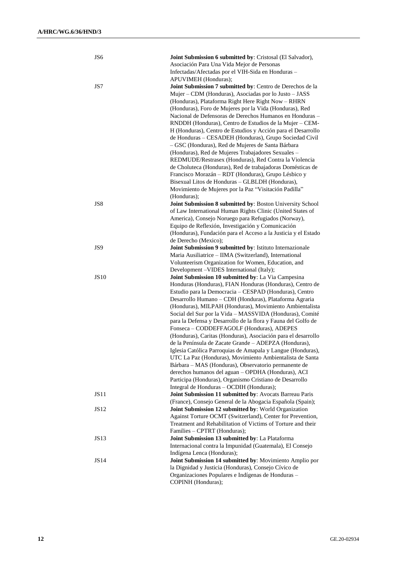| JS6         | <b>Joint Submission 6 submitted by: Cristosal (El Salvador),</b> |
|-------------|------------------------------------------------------------------|
|             | Asociación Para Una Vida Mejor de Personas                       |
|             | Infectadas/Afectadas por el VIH-Sida en Honduras -               |
|             | APUVIMEH (Honduras);                                             |
| JS7         | Joint Submission 7 submitted by: Centro de Derechos de la        |
|             | Mujer – CDM (Honduras), Asociadas por lo Justo – JASS            |
|             | (Honduras), Plataforma Right Here Right Now - RHRN               |
|             | (Honduras), Foro de Mujeres por la Vida (Honduras), Red          |
|             | Nacional de Defensoras de Derechos Humanos en Honduras -         |
|             | RNDDH (Honduras), Centro de Estudios de la Mujer - CEM-          |
|             | H (Honduras), Centro de Estudios y Acción para el Desarrollo     |
|             | de Honduras - CESADEH (Honduras), Grupo Sociedad Civil           |
|             | - GSC (Honduras), Red de Mujeres de Santa Bárbara                |
|             | (Honduras), Red de Mujeres Trabajadores Sexuales -               |
|             |                                                                  |
|             | REDMUDE/Restrasex (Honduras), Red Contra la Violencia            |
|             | de Choluteca (Honduras), Red de trabajadoras Domésticas de       |
|             | Francisco Morazán - RDT (Honduras), Grupo Lésbico y              |
|             | Bisexual Litos de Honduras - GLBLDH (Honduras),                  |
|             | Movimiento de Mujeres por la Paz "Visitación Padilla"            |
|             | (Honduras);                                                      |
| JS8         | Joint Submission 8 submitted by: Boston University School        |
|             | of Law International Human Rights Clinic (United States of       |
|             | America), Consejo Noruego para Refugiados (Norway),              |
|             | Equipo de Reflexión, Investigación y Comunicación                |
|             | (Honduras), Fundación para el Acceso a la Justicia y el Estado   |
|             | de Derecho (Mexico);                                             |
| JS9         | Joint Submission 9 submitted by: Istituto Internazionale         |
|             | Maria Ausiliatrice - IIMA (Switzerland), International           |
|             | Volunteerism Organization for Women, Education, and              |
|             |                                                                  |
|             | Development -VIDES International (Italy);                        |
| <b>JS10</b> | Joint Submission 10 submitted by: La Via Campesina               |
|             | Honduras (Honduras), FIAN Honduras (Honduras), Centro de         |
|             | Estudio para la Democracia – CESPAD (Honduras), Centro           |
|             | Desarrollo Humano - CDH (Honduras), Plataforma Agraria           |
|             | (Honduras), MILPAH (Honduras), Movimiento Ambientalista          |
|             | Social del Sur por la Vida - MASSVIDA (Honduras), Comité         |
|             | para la Defensa y Desarrollo de la flora y Fauna del Golfo de    |
|             | Fonseca - CODDEFFAGOLF (Honduras), ADEPES                        |
|             | (Honduras), Caritas (Honduras), Asociación para el desarrollo    |
|             | de la Península de Zacate Grande - ADEPZA (Honduras),            |
|             | Iglesia Católica Parroquias de Amapala y Langue (Honduras),      |
|             | UTC La Paz (Honduras), Movimiento Ambientalista de Santa         |
|             | Bárbara - MAS (Honduras), Observatorio permanente de             |
|             | derechos humanos del aguan - OPDHA (Honduras), ACI               |
|             | Participa (Honduras), Organismo Cristiano de Desarrollo          |
|             | Integral de Honduras - OCDIH (Honduras);                         |
| <b>JS11</b> | Joint Submission 11 submitted by: Avocats Barreau Paris          |
|             | (France), Consejo General de la Abogacia Española (Spain);       |
| JS12        | Joint Submission 12 submitted by: World Organization             |
|             | Against Torture OCMT (Switzerland), Center for Prevention,       |
|             | Treatment and Rehabilitation of Victims of Torture and their     |
|             | Families - CPTRT (Honduras);                                     |
| <b>JS13</b> | Joint Submission 13 submitted by: La Plataforma                  |
|             | Internacional contra la Impunidad (Guatemala), El Consejo        |
|             | Indígena Lenca (Honduras);                                       |
| <b>JS14</b> | Joint Submission 14 submitted by: Movimiento Amplio por          |
|             | la Dignidad y Justicia (Honduras), Consejo Cívico de             |
|             | Organizaciones Populares e Indígenas de Honduras -               |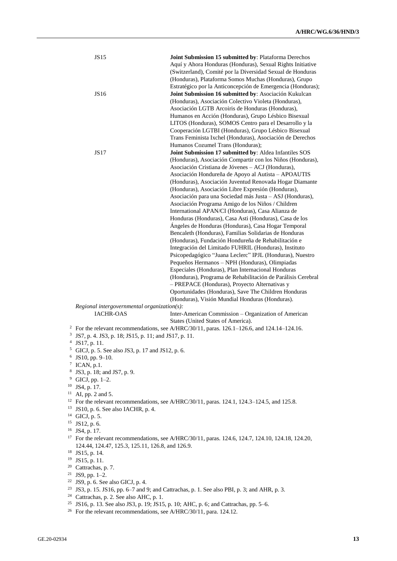| <b>JS15</b>                                                       | Joint Submission 15 submitted by: Plataforma Derechos                                                         |
|-------------------------------------------------------------------|---------------------------------------------------------------------------------------------------------------|
|                                                                   | Aquí y Ahora Honduras (Honduras), Sexual Rights Initiative                                                    |
|                                                                   | (Switzerland), Comité por la Diversidad Sexual de Honduras                                                    |
|                                                                   | (Honduras), Plataforma Somos Muchas (Honduras), Grupo                                                         |
|                                                                   | Estratégico por la Anticoncepción de Emergencia (Honduras);                                                   |
| <b>JS16</b>                                                       | Joint Submission 16 submitted by: Asociación Kukulcan                                                         |
|                                                                   | (Honduras), Asociación Colectivo Violeta (Honduras),                                                          |
|                                                                   | Asociación LGTB Arcoiris de Honduras (Honduras),                                                              |
|                                                                   | Humanos en Acción (Honduras), Grupo Lésbico Bisexual                                                          |
|                                                                   | LITOS (Honduras), SOMOS Centro para el Desarrollo y la                                                        |
|                                                                   | Cooperación LGTBI (Honduras), Grupo Lésbico Bisexual                                                          |
|                                                                   | Trans Feminista Ixchel (Honduras), Asociación de Derechos                                                     |
|                                                                   | Humanos Cozumel Trans (Honduras);                                                                             |
| JS17                                                              | Joint Submission 17 submitted by: Aldea Infantiles SOS                                                        |
|                                                                   | (Honduras), Asociación Compartir con los Niños (Honduras),                                                    |
|                                                                   | Asociación Cristiana de Jóvenes - ACJ (Honduras),                                                             |
|                                                                   | Asociación Hondureña de Apoyo al Autista - APOAUTIS                                                           |
|                                                                   | (Honduras), Asociación Juventud Renovada Hogar Diamante                                                       |
|                                                                   | (Honduras), Asociación Libre Expresión (Honduras),                                                            |
|                                                                   | Asociación para una Sociedad más Justa - ASJ (Honduras),                                                      |
|                                                                   | Asociación Programa Amigo de los Niños / Children                                                             |
|                                                                   | International APAN/CI (Honduras), Casa Alianza de                                                             |
|                                                                   | Honduras (Honduras), Casa Asti (Honduras), Casa de los                                                        |
|                                                                   | Ángeles de Honduras (Honduras), Casa Hogar Temporal                                                           |
|                                                                   | Bencaleth (Honduras), Familias Solidarias de Honduras                                                         |
|                                                                   | (Honduras), Fundación Hondureña de Rehabilitación e                                                           |
|                                                                   | Integración del Limitado FUHRIL (Honduras), Instituto                                                         |
|                                                                   | Psicopedagógico "Juana Leclerc" IPJL (Honduras), Nuestro                                                      |
|                                                                   | Pequeños Hermanos - NPH (Honduras), Olimpiadas                                                                |
|                                                                   | Especiales (Honduras), Plan Internacional Honduras                                                            |
|                                                                   | (Honduras), Programa de Rehabilitación de Parálisis Cerebral                                                  |
|                                                                   | - PREPACE (Honduras), Proyecto Alternativas y                                                                 |
|                                                                   | Oportunidades (Honduras), Save The Children Honduras<br>(Honduras), Visión Mundial Honduras (Honduras).       |
| $Regional$ intergovernmental organization(s):                     |                                                                                                               |
| <b>IACHR-OAS</b>                                                  | Inter-American Commission - Organization of American                                                          |
|                                                                   | States (United States of America).                                                                            |
|                                                                   | <sup>2</sup> For the relevant recommendations, see A/HRC/30/11, paras. 126.1–126.6, and 124.14–124.16.        |
| <sup>3</sup> JS7, p. 4. JS3, p. 18; JS15, p. 11; and JS17, p. 11. |                                                                                                               |
| JS17, p. 11.                                                      |                                                                                                               |
| <sup>5</sup> GICJ, p. 5. See also JS3, p. 17 and JS12, p. 6.      |                                                                                                               |
| $6$ JS10, pp. 9–10.                                               |                                                                                                               |
| $7$ ICAN, p.1.                                                    |                                                                                                               |
| <sup>8</sup> JS3, p. 18; and JS7, p. 9.                           |                                                                                                               |
| $9$ GICJ, pp. 1–2.                                                |                                                                                                               |
| $10$ JS4, p. 17.                                                  |                                                                                                               |
| $11$ AI, pp. 2 and 5.                                             |                                                                                                               |
|                                                                   | <sup>12</sup> For the relevant recommendations, see A/HRC/30/11, paras. 124.1, 124.3–124.5, and 125.8.        |
| $13$ JS10, p. 6. See also IACHR, p. 4.                            |                                                                                                               |
| <sup>14</sup> GICJ, p. 5.                                         |                                                                                                               |
| $15$ JS12, p. 6.                                                  |                                                                                                               |
| <sup>16</sup> JS4, p. 17.                                         |                                                                                                               |
|                                                                   | <sup>17</sup> For the relevant recommendations, see A/HRC/30/11, paras. 124.6, 124.7, 124.10, 124.18, 124.20, |
| 124.44, 124.47, 125.3, 125.11, 126.8, and 126.9.                  |                                                                                                               |
| <sup>18</sup> JS15, p. 14.<br><sup>19</sup> JS15, p. 11.          |                                                                                                               |
| <sup>20</sup> Cattrachas, p. 7.                                   |                                                                                                               |
| $21$ JS9, pp. 1-2.                                                |                                                                                                               |
| $22$ JS9, p. 6. See also GICJ, p. 4.                              |                                                                                                               |
|                                                                   | <sup>23</sup> JS3, p. 15. JS16, pp. 6–7 and 9; and Cattrachas, p. 1. See also PBI, p. 3; and AHR, p. 3.       |
| <sup>24</sup> Cattrachas, p. 2. See also AHC, p. 1.               |                                                                                                               |
|                                                                   |                                                                                                               |
|                                                                   | <sup>25</sup> JS16, p. 13. See also JS3, p. 19; JS15, p. 10; AHC, p. 6; and Cattrachas, pp. 5–6.              |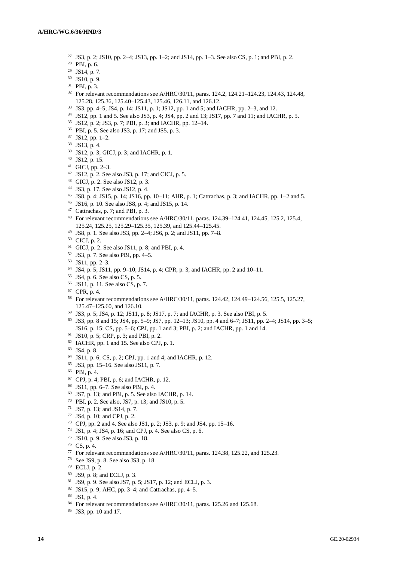- JS3, p. 2; JS10, pp. 2–4; JS13, pp. 1–2; and JS14, pp. 1–3. See also CS, p. 1; and PBI, p. 2.
- PBI, p. 6.
- JS14, p. 7.
- JS10, p. 9.
- PBI, p. 3.
- <sup>32</sup> For relevant recommendations see A/HRC/30/11, paras. 124.2, 124.21–124.23, 124.43, 124.48, 125.28, 125.36, 125.40–125.43, 125.46, 126.11, and 126.12.
- JS3, pp. 4**–**5; JS4, p. 14; JS11, p. 1; JS12, pp. 1 and 5; and IACHR, pp. 2–3, and 12.
- JS12, pp. 1 and 5. See also JS3, p. 4; JS4, pp. 2 and 13; JS17, pp. 7 and 11; and IACHR, p. 5.
- JS12, p. 2; JS3, p. 7; PBI, p. 3; and IACHR, pp. 12–14.
- PBI, p. 5. See also JS3, p. 17; and JS5, p. 3.
- JS12, pp. 1–2.
- JS13, p. 4.
- JS12, p. 3; GICJ, p. 3; and IACHR, p. 1.
- JS12, p. 15.
- GICJ, pp. 2–3.
- JS12, p. 2. See also JS3, p. 17; and CICJ, p. 5.
- GICJ, p. 2. See also JS12, p. 3.
- JS3, p. 17. See also JS12, p. 4.
- JS8, p. 4; JS15, p. 14; JS16, pp. 10–11; AHR, p. 1; Cattrachas, p. 3; and IACHR, pp. 1–2 and 5.
- JS16, p. 10. See also JS8, p. 4; and JS15, p. 14.
- Cattrachas, p. 7; and PBI, p. 3.
- For relevant recommendations see A/HRC/30/11, paras. 124.39–124.41, 124.45, 125.2, 125.4, 125.24, 125.25, 125.29–125.35, 125.39, and 125.44–125.45.
- JS8, p. 1. See also JS3, pp. 2–4; JS6, p. 2; and JS11, pp. 7–8.
- CICJ, p. 2.
- GICJ, p. 2. See also JS11, p. 8; and PBI, p. 4.
- JS3, p. 7. See also PBI, pp. 4–5.
- JS11, pp. 2–3.
- JS4, p. 5; JS11, pp. 9–10; JS14, p. 4; CPR, p. 3; and IACHR, pp. 2 and 10–11.
- JS4, p. 6. See also CS, p. 5.
- JS11, p. 11. See also CS, p. 7.
- CPR, p. 4.
- For relevant recommendations see A/HRC/30/11, paras. 124.42, 124.49–124.56, 125.5, 125.27, 125.47–125.60, and 126.10.
- JS3, p. 5; JS4, p. 12; JS11, p. 8; JS17, p. 7; and IACHR, p. 3. See also PBI, p. 5.
- JS3, pp. 8 and 15; JS4, pp. 5–9; JS7, pp. 12–13; JS10, pp. 4 and 6–7; JS11, pp. 2–4; JS14, pp. 3–5; JS16, p. 15; CS, pp. 5–6; CPJ, pp. 1 and 3; PBI, p. 2; and IACHR, pp. 1 and 14.
- JS10, p. 5; CRP, p. 3; and PBI, p. 2.
- IACHR, pp. 1 and 15. See also CPJ, p. 1.
- JS4, p. 8.
- JS11, p. 6; CS, p. 2; CPJ, pp. 1 and 4; and IACHR, p. 12.
- JS3, pp. 15–16. See also JS11, p. 7.
- PBI, p. 4.
- CPJ, p. 4; PBI, p. 6; and IACHR, p. 12.
- JS11, pp. 6–7. See also PBI, p. 4.
- JS7, p. 13; and PBI, p. 5. See also IACHR, p. 14.
- PBI, p. 2. See also, JS7, p. 13; and JS10, p. 5.
- JS7, p. 13; and JS14, p. 7.
- JS4, p. 10; and CPJ, p. 2.
- CPJ, pp. 2 and 4. See also JS1, p. 2; JS3, p. 9; and JS4, pp. 15–16.
- JS1, p. 4; JS4, p. 16; and CPJ, p. 4. See also CS, p. 6.
- JS10, p. 9. See also JS3, p. 18.
- CS, p. 4.
- For relevant recommendations see A/HRC/30/11, paras. 124.38, 125.22, and 125.23.
- See JS9, p. 8. See also JS3, p. 18.
- ECLJ, p. 2.
- JS9, p. 8; and ECLJ, p. 3.
- JS9, p. 9. See also JS7, p. 5; JS17, p. 12; and ECLJ, p. 3.
- JS15, p. 9; AHC, pp. 3–4; and Cattrachas, pp. 4–5.
- JS1, p. 4.
- <sup>84</sup> For relevant recommendations see A/HRC/30/11, paras. 125.26 and 125.68.
- JS3, pp. 10 and 17.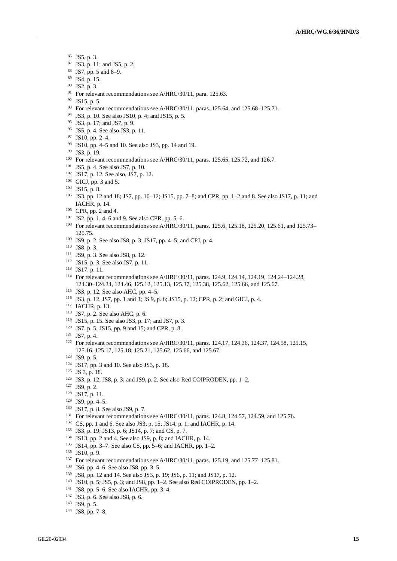- JS5, p. 3.
- JS3, p. 11; and JS5, p. 2.
- JS7, pp. 5 and 8–9.
- JS4, p. 15.
- JS2, p. 3.
- <sup>91</sup> For relevant recommendations see A/HRC/30/11, para. 125.63.
- JS15, p. 5.
- <sup>93</sup> For relevant recommendations see A/HRC/30/11, paras. 125.64, and 125.68-125.71.
- JS3, p. 10. See also JS10, p. 4; and JS15, p. 5.
- JS3, p. 17; and JS7, p. 9.
- JS5, p. 4. See also JS3, p. 11.
- JS10, pp. 2–4.
- JS10, pp. 4–5 and 10. See also JS3, pp. 14 and 19.
- JS3, p. 19.
- <sup>100</sup> For relevant recommendations see A/HRC/30/11, paras. 125.65, 125.72, and 126.7.
- JS5, p. 4. See also JS7, p. 10.
- JS17, p. 12. See also, JS7, p. 12.
- GICJ, pp. 3 and 5.
- JS15, p. 8.
- JS3, pp. 12 and 18; JS7, pp. 10–12; JS15, pp. 7–8; and CPR, pp. 1–2 and 8. See also JS17, p. 11; and IACHR, p. 14.
- CPR, pp. 2 and 4.
- JS2, pp. 1, 4–6 and 9. See also CPR, pp. 5–6.
- <sup>108</sup> For relevant recommendations see A/HRC/30/11, paras. 125.6, 125.18, 125.20, 125.61, and 125.73– 125.75.
- JS9, p. 2. See also JS8, p. 3; JS17, pp. 4–5; and CPJ, p. 4.
- JS8, p. 3.
- JS9, p. 3. See also JS8, p. 12.
- JS15, p. 3. See also JS7, p. 11.
- JS17, p. 11.
- For relevant recommendations see A/HRC/30/11, paras. 124.9, 124.14, 124.19, 124.24–124.28, 124.30–124.34, 124.46, 125.12, 125.13, 125.37, 125.38, 125.62, 125.66, and 125.67.
- JS3, p. 12. See also AHC, pp. 4–5.
- JS3, p. 12. JS7, pp. 1 and 3; JS 9, p. 6; JS15, p. 12; CPR, p. 2; and GICJ, p. 4.
- IACHR, p. 13.
- JS7, p. 2. See also AHC, p. 6.
- JS15, p. 15. See also JS3, p. 17; and JS7, p. 3.
- JS7, p. 5; JS15, pp. 9 and 15; and CPR, p. 8.
- JS7, p. 4.
- <sup>122</sup> For relevant recommendations see A/HRC/30/11, paras. 124.17, 124.36, 124.37, 124.58, 125.15, 125.16, 125.17, 125.18, 125.21, 125.62, 125.66, and 125.67.
- JS9, p. 5.
- JS17, pp. 3 and 10. See also JS3, p. 18.
- JS 3, p. 18.
- JS3, p. 12; JS8, p. 3; and JS9, p. 2. See also Red COIPRODEN, pp. 1–2.
- JS9, p. 2.
- JS17, p. 11.
- JS9, pp. 4–5.
- JS17, p. 8. See also JS9, p. 7.
- For relevant recommendations see A/HRC/30/11, paras. 124.8, 124.57, 124.59, and 125.76.
- CS, pp. 1 and 6. See also JS3, p. 15; JS14, p. 1; and IACHR, p. 14.
- JS3, p. 19; JS13, p. 6; JS14, p. 7; and CS, p. 7.
- JS13, pp. 2 and 4. See also JS9, p. 8; and IACHR, p. 14.
- JS14, pp. 3–7. See also CS, pp. 5–6; and IACHR, pp. 1–2.
- JS10, p. 9.
- <sup>137</sup> For relevant recommendations see A/HRC/30/11, paras. 125.19, and 125.77–125.81.
- JS6, pp. 4–6. See also JS8, pp. 3–5.
- JS8, pp. 12 and 14. See also JS3, p. 19; JS6, p. 11; and JS17, p. 12.
- JS10, p. 5; JS5, p. 3; and JS8, pp. 1–2. See also Red COIPRODEN, pp. 1–2.
- JS8, pp. 5–6. See also IACHR, pp. 3–4.
- JS3, p. 6. See also JS8, p. 6.
- JS9, p. 5.
- JS8, pp. 7–8.